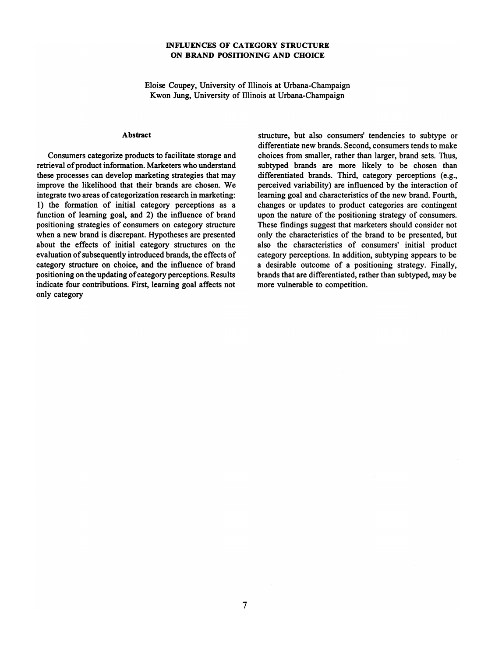## INFLUENCES OF CATEGORY STRUCTURE ON BRAND POSffiONING AND CHOICE

Eloise Coupey, University of Illinois at Urbana-Champaign Kwon Jung, University of Illinois at Urbana-Champaign

## Abstract

Consumers categorize products to facilitate storage and retrieval of product information. Marketers who understand these processes can develop marketing strategies that may improve the likelihood that their brands are chosen. We integrate two areas of categorization research in marketing: l) the formation of initial category perceptions as a function of learning goal, and 2) the influence of brand positioning strategies of consumers on category structure when a new brand is discrepant. Hypotheses are presented about the effects of initial category structures on the evaluation of subsequently introduced brands, the effects of category structure on choice, and the influence of brand positioning on the updating of category perceptions. Results indicate four contributions. First, learning goal affects not only category

structure, but also consumers' tendencies to subtype or differentiate new brands. Second, consumers tends to make choices from smaller, rather than larger, brand sets. Thus, subtyped brands are more likely to be chosen than differentiated brands. Third, category perceptions (e.g., perceived variability) are influenced by the interaction of learning goal and characteristics of the new brand. Fourth, changes or updates to product categories are contingent upon the nature of the positioning strategy of consumers. These findings suggest that marketers should consider not only the characteristics of the brand to be presented, but also the characteristics of consumers' initial product category perceptions. In addition, subtyping appears to be a desirable outcome of a positioning strategy. Finally, brands that are differentiated, rather than subtyped, may be more vulnerable to competition.